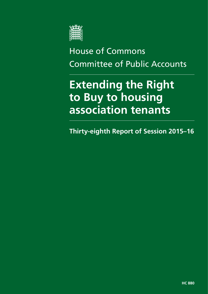

# House of Commons Committee of Public Accounts

# **Extending the Right to Buy to housing association tenants**

**Thirty-eighth Report of Session 2015–16**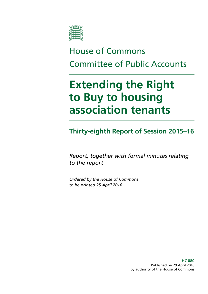

# House of Commons Committee of Public Accounts

# **Extending the Right to Buy to housing association tenants**

**Thirty-eighth Report of Session 2015–16**

*Report, together with formal minutes relating to the report*

*Ordered by the House of Commons to be printed 25 April 2016*

> **HC 880** Published on 29 April 2016 by authority of the House of Commons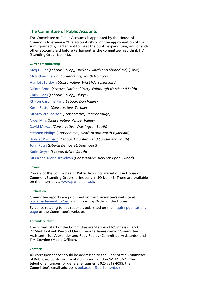#### **The Committee of Public Accounts**

The Committee of Public Accounts is appointed by the House of Commons to examine "the accounts showing the appropriation of the sums granted by Parliament to meet the public expenditure, and of such other accounts laid before Parliament as the committee may think fit" (Standing Order No.148).

#### **Current membership**

[Meg Hillier](http://www.parliament.uk/biographies/commons/meg-hillier/1524) (*Labour (Co-op), Hackney South and Shoreditch*) (Chair) [Mr Richard Bacon](http://www.parliament.uk/biographies/commons/mr-richard-bacon/1451) (*Conservative, South Norfolk*) [Harriett Baldwin](http://www.parliament.uk/biographies/commons/harriett-baldwin/4107) (*Conservative, West Worcestershire*) [Deidre Brock](http://www.parliament.uk/biographies/commons/deidre-brock/4417) (*Scottish National Party, Edinburgh North and Leith*) [Chris Evans](http://www.parliament.uk/biographies/commons/chris-evans/4040) (*Labour (Co-op), Islwyn*) [Rt Hon Caroline Flint](http://www.parliament.uk/biographies/commons/caroline-flint/389) (*Labour, Don Valley*) [Kevin Foster](http://www.parliament.uk/biographies/commons/kevin-foster/4451) (*Conservative, Torbay*) [Mr Stewart Jackson](http://www.parliament.uk/biographies/commons/mr-stewart-jackson/1551) (*Conservative, Peterborough*) [Nigel Mills](http://www.parliament.uk/biographies/commons/nigel-mills/4136) (*Conservative, Amber Valley*) [David Mowat](http://www.parliament.uk/biographies/commons/david-mowat/4080) (*Conservative, Warrington South*) [Stephen Phillips](http://www.parliament.uk/biographies/commons/stephen-phillips/4054) (*Conservative, Sleaford and North Hykeham*) [Bridget Phillipson](http://www.parliament.uk/biographies/commons/bridget-phillipson/4046) (*Labour, Houghton and Sunderland South*) [John Pugh](http://www.parliament.uk/biographies/commons/john-pugh/1454) (*Liberal Democrat, Southport*) [Karin Smyth](http://www.parliament.uk/biographies/commons/karin-smyth/4444) (*Labour, Bristol South*) [Mrs Anne-Marie Trevelyan](http://www.parliament.uk/biographies/commons/mrs-anne-marie-trevelyan/4531) (*Conservative, Berwick-upon-Tweed*)

#### **Powers**

Powers of the Committee of Public Accounts are set out in House of Commons Standing Orders, principally in SO No.148. These are available on the Internet via [www.parliament.uk.](http://www.parliament.uk)

#### **Publication**

Committee reports are published on the Committee's website at [www.parliament.uk/pac](http://www.parliament.uk/pac) and in print by Order of the House.

Evidence relating to this report is published on the [inquiry publications](http://www.parliament.uk/business/committees/committees-a-z/commons-select/public-accounts-committee/inquiries/parliament-2015/right-to-buy-15-16/)  [page](http://www.parliament.uk/business/committees/committees-a-z/commons-select/public-accounts-committee/inquiries/parliament-2015/right-to-buy-15-16/) of the Committee's website.

#### **Committee staff**

The current staff of the Committee are Stephen McGinness (Clerk), Dr Mark Ewbank (Second Clerk), George James (Senior Committee Assistant), Sue Alexander and Ruby Radley (Committee Assistants), and Tim Bowden (Media Officer).

#### **Contacts**

All correspondence should be addressed to the Clerk of the Committee of Public Accounts, House of Commons, London SW1A 0AA. The telephone number for general enquiries is 020 7219 4099; the Committee's email address is [pubaccom@parliament.uk.](mailto:pubaccom@parliament.uk)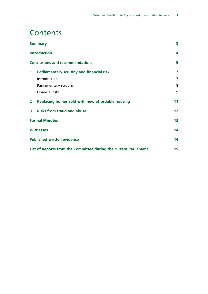### **Contents**

| <b>Summary</b>                                                   |                                                  | 3  |  |
|------------------------------------------------------------------|--------------------------------------------------|----|--|
|                                                                  | <b>Introduction</b>                              |    |  |
|                                                                  | <b>Conclusions and recommendations</b>           | 5  |  |
| $\mathbf 1$                                                      | <b>Parliamentary scrutiny and financial risk</b> | 7  |  |
|                                                                  | Introduction                                     | 7  |  |
|                                                                  | Parliamentary scrutiny                           | 8  |  |
|                                                                  | <b>Financial risks</b>                           | 9  |  |
| $\mathbf{2}$                                                     | Replacing homes sold with new affordable housing | 11 |  |
| 3                                                                | <b>Risks from fraud and abuse</b>                | 12 |  |
| <b>Formal Minutes</b>                                            |                                                  | 13 |  |
| <b>Witnesses</b>                                                 |                                                  | 14 |  |
|                                                                  | <b>Published written evidence</b>                | 14 |  |
| List of Reports from the Committee during the current Parliament |                                                  |    |  |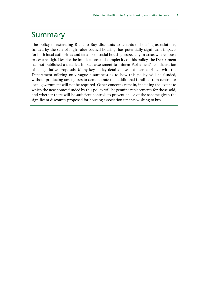### <span id="page-6-0"></span>Summary

The policy of extending Right to Buy discounts to tenants of housing associations, funded by the sale of high-value council housing, has potentially significant impacts for both local authorities and tenants of social housing, especially in areas where house prices are high. Despite the implications and complexity of this policy, the Department has not published a detailed impact assessment to inform Parliament's consideration of its legislative proposals. Many key policy details have not been clarified, with the Department offering only vague assurances as to how this policy will be funded, without producing any figures to demonstrate that additional funding from central or local government will not be required. Other concerns remain, including the extent to which the new homes funded by this policy will be genuine replacements for those sold, and whether there will be sufficient controls to prevent abuse of the scheme given the significant discounts proposed for housing association tenants wishing to buy.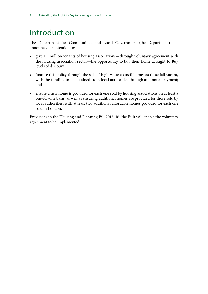## <span id="page-7-0"></span>Introduction

The Department for Communities and Local Government (the Department) has announced its intention to:

- give 1.3 million tenants of housing associations—through voluntary agreement with the housing association sector—the opportunity to buy their home at Right to Buy levels of discount;
- finance this policy through the sale of high-value council homes as these fall vacant, with the funding to be obtained from local authorities through an annual payment; and
- ensure a new home is provided for each one sold by housing associations on at least a one-for-one basis, as well as ensuring additional homes are provided for those sold by local authorities, with at least two additional affordable homes provided for each one sold in London.

Provisions in the Housing and Planning Bill 2015–16 (the Bill) will enable the voluntary agreement to be implemented.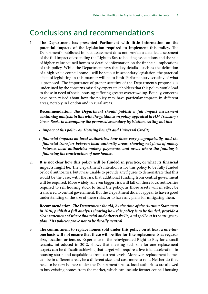### <span id="page-8-0"></span>Conclusions and recommendations

1. **The Department has presented Parliament with little information on the potential impacts of the legislation required to implement this policy.** The Department's published impact assessment does not provide a detailed assessment of the full impact of extending the Right to Buy to housing associations and the sale of higher-value council homes or detailed information on the financial implications of this policy. While the Department says that key details—such as the definition of a high-value council home—will be set out in secondary legislation, the practical effect of legislating in this manner will be to limit Parliamentary scrutiny of what is proposed. The importance of proper scrutiny of the Department's proposals is underlined by the concerns raised by expert stakeholders that this policy would lead to those in need of social housing suffering greater overcrowding. Equally, concerns have been raised about how the policy may have particular impacts in different areas, notably in London and in rural areas.

**Recommendation:** *The Department should publish a full impact assessment containing analysis in line with the guidance on policy appraisal in HM Treasury's Green Book, to accompany the proposed secondary legislation, setting out the:*

- *impact of this policy on Housing Benefit and Universal Credit;*
- *financial impacts on local authorities, how these vary geographically, and the financial transfers between local authority areas, showing net flows of money between local authorities making payments, and areas where the funding is financing the construction of new homes.*
- 2. **It is not clear how this policy will be funded in practice, or what its financial impacts might be.** The Department's intention is for this policy to be fully funded by local authorities, but it was unable to provide any figures to demonstrate that this would be the case, with the risk that additional funding from central government will be required. More widely, an even bigger risk will fall on those local authorities required to sell housing stock to fund the policy, as those assets will in effect be transfered to central government. But the Department did not appear to have a good understanding of the size of these risks, or to have any plans for mitigating them.

**Recommendation:** *The Department should, by the time of the Autumn Statement in 2016, publish a full analysis showing how this policy is to be funded, provide a clear statement of where financial and other risks lie, and spell out its contingency plan if its policies prove not to be fiscally neutral.*

3. **The commitment to replace homes sold under this policy on at least a one-forone basis will not ensure that these will be like-for-like replacements as regards size, location or tenure.** Experience of the reinvigorated Right to Buy for council tenants, introduced in 2012, shows that meeting such one-for-one replacement targets can be difficult: achieving that target will require a five-fold acceleration in housing starts and acquisitions from current levels. Moreover, replacement homes can be in different areas, be a different size, and cost more to rent. Neither do they need to be new homes: under the Department's rules, local authorities are allowed to buy existing homes from the market, which can include former council housing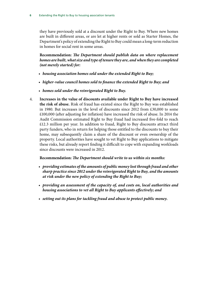they have previously sold at a discount under the Right to Buy. Where new homes are built in different areas, or are let at higher rents or sold as Starter Homes, the Department's policy of extending the Right to Buy could mean a long-term reduction in homes for social rent in some areas.

**Recommendation:** *The Department should publish data on where replacement homes are built, what size and type of tenure they are, and when they are completed (not merely started) for:*

- *housing association homes sold under the extended Right to Buy;*
- *higher-value council homes sold to finance the extended Right to Buy; and*
- *homes sold under the reinvigorated Right to Buy.*
- 4. **Increases in the value of discounts available under Right to Buy have increased the risk of abuse.** Risk of fraud has existed since the Right to Buy was established in 1980. But increases in the level of discounts since 2012 from £30,000 to some £100,000 (after adjusting for inflation) have increased the risk of abuse. In 2014 the Audit Commission estimated Right to Buy fraud had increased five-fold to reach £12.3 million per year. In addition to fraud, Right to Buy discounts attract third party funders, who in return for helping those entitled to the discounts to buy their home, may subsequently claim a share of the discount or even ownership of the property. Local authorities have sought to vet Right to Buy applications to mitigate these risks, but already report finding it difficult to cope with expanding workloads since discounts were increased in 2012.

#### **Recommendation:** *The Department should write to us within six months:*

- *providing estimates of the amounts of public money lost through fraud and other sharp practice since 2012 under the reinvigorated Right to Buy, and the amounts at risk under the new policy of extending the Right to Buy;*
- *providing an assessment of the capacity of, and costs on, local authorities and housing associations to vet all Right to Buy applicants effectively; and*
- *setting out its plans for tackling fraud and abuse to protect public money.*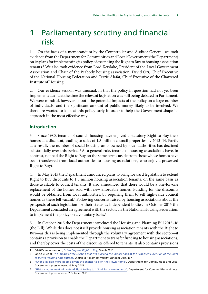## <span id="page-10-0"></span>**1** Parliamentary scrutiny and financial risk

1. On the basis of a memorandum by the Comptroller and Auditor General, we took evidence from the Department for Communities and Local Government (the Department) on its plans for implementing its policy of extending the Right to Buy to housing association tenants.<sup>1</sup> We also took evidence from Lord Kerslake, President of the Local Government Association and Chair of the Peabody housing association; David Orr, Chief Executive of the National Housing Federation and Terrie Alafat, Chief Executive of the Chartered Institute of Housing.

2. Our evidence session was unusual, in that the policy in question had not yet been implemented, and at the time the relevant legislation was still being debated in Parliament. We were mindful, however, of both the potential impacts of the policy on a large number of individuals, and the significant amount of public money likely to be involved. We therefore wanted to look at this policy early in order to help the Government shape its approach in the most effective way.

#### **Introduction**

3. Since 1980, tenants of council housing have enjoyed a statutory Right to Buy their homes at a discount, leading to sales of 1.8 million council properties by 2013–14. Partly as a result, the number of social housing units owned by local authorities has declined substantially over this period.<sup>2</sup> As a general rule, tenants of housing associations have, in contrast, not had the Right to Buy on the same terms (aside from those whose homes have been transferred from local authorities to housing associations, who enjoy a preserved Right to Buy).

4. In May 2015 the Department announced plans to bring forward legislation to extend Right to Buy discounts to 1.3 million housing association tenants, on the same basis as those available to council tenants. It also announced that there would be a one-for-one replacement of the homes sold with new affordable homes. Funding for the discounts would be obtained from local authorities, by requiring them to sell high-value council homes as these fell vacant.<sup>3</sup> Following concerns raised by housing associations about the prospects of such legislation for their status as independent bodies, in October 2015 the Department concluded an agreement with the sector, via the National Housing Federation, to implement the policy on a voluntary basis.<sup>4</sup>

5. In October 2015 the Department introduced the Housing and Planning Bill 2015–16 (the Bill). While this does not itself provide housing association tenants with the Right to Buy—as this is being implemented through the voluntary agreement with the sector—it contains a provision to enable the Department to transfer funding to housing associations, and thereby cover the costs of the discounts offered to tenants. It also contains provisions

<sup>1</sup> C&AG's memorandum, *[Extending the Right to Buy](https://www.nao.org.uk/wp-content/uploads/2016/03/Memorandum-extending-the-right-to-buy.pdf)*, March 2016.

<sup>2</sup> Ian Cole, et al, *[The Impact of the Existing Right to Buy and the Implications of the Proposed Extension of the Right](http://www.parliament.uk/documents/commons-committees/communities-and-local-government/Full-Report-for-Select-Committee-141015final.pdf) [to Buy to Housing Associations](http://www.parliament.uk/documents/commons-committees/communities-and-local-government/Full-Report-for-Select-Committee-141015final.pdf)*, Sheffield Hallam University, October 2015, p 7.

[<sup>&</sup>quot;Over a million more people given the chance to own their own home"](https://www.gov.uk/government/news/over-a-million-more-people-given-the-chance-to-own-their-own-home), Department for Communities and Local Government press release, 26 May 2015.

<sup>4</sup> ["Historic agreement will extend Right to Buy to 1.3 million more tenants",](https://www.gov.uk/government/news/historic-agreement-will-extend-right-to-buy-to-13-million-more-tenants) Department for Communities and Local Government press release, 7 October 2015.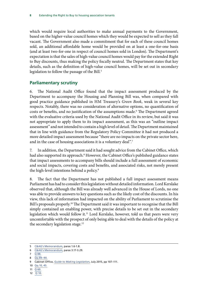<span id="page-11-0"></span>which would require local authorities to make annual payments to the Government, based on the higher-value council homes which they would be expected to sell as they fall vacant. The Government also made a commitment that for each of these council homes sold, an additional affordable home would be provided on at least a one-for-one basis (and at least two-for-one in respect of council homes sold in London). The Department's expectation is that the sales of high-value council homes would pay for the extended Right to Buy discounts, thus making the policy fiscally neutral. The Department states that key details, such as the definition of high-value council homes, will be set out in secondary legislation to follow the passage of the Bill.<sup>5</sup>

#### **Parliamentary scrutiny**

6. The National Audit Office found that the impact assessment produced by the Department to accompany the Housing and Planning Bill was, when compared with good practice guidance published in HM Treasury's *Green Book*, weak in several key respects. Notably, there was no consideration of alternative options, no quantification of costs or benefits, and no justification of the assumptions made.6 The Department agreed with the evaluative criteria used by the National Audit Office in its review, but said it was not appropriate to apply them to its impact assessment, as this was an "outline impact assessment" and not intended to contain a high level of detail. The Department maintained that in line with guidance from the Regulatory Policy Committee it had not produced a more detailed impact assessment because "there are no impacts on the private sector here, and in the case of housing associations it is a voluntary deal".<sup>7</sup>

7. In addition, the Department said it had sought advice from the Cabinet Office, which had also supported its approach.8 However, the Cabinet Office's published guidance states that impact assessments to accompany bills should include a full assessment of economic and social impacts, covering costs and benefits, and associated risks, not merely present the high-level intentions behind a policy.9

8. The fact that the Department has not published a full impact assessment means Parliament has had to consider this legislation without detailed information. Lord Kerslake observed that, although the Bill was already well advanced in the House of Lords, no one was able to provide answers to key questions such as the likely cost of the discounts. In his view, this lack of information had impacted on the ability of Parliament to scrutinise the Bill's proposals properly.<sup>10</sup> The Department said it was important to recognise that the Bill simply contained an enabling power, with precise details to be set out in the secondary legislation which would follow it.<sup>11</sup> Lord Kerslake, however, told us that peers were very uncomfortable with the prospect of only being able to deal with the details of the policy at the secondary legislation stage.<sup>12</sup>

- $7 \overline{Q88}$ .
- 8 Og [89–90.](http://data.parliament.uk/writtenevidence/committeeevidence.svc/evidencedocument/public-accounts-committee/right-to-buy/oral/30318.pdf)

- 10 Qq [10, 45.](http://data.parliament.uk/writtenevidence/committeeevidence.svc/evidencedocument/public-accounts-committee/right-to-buy/oral/30318.pdf)
- 11 Q [60.](http://data.parliament.uk/writtenevidence/committeeevidence.svc/evidencedocument/public-accounts-committee/right-to-buy/oral/30318.pdf)
- 12  $\overline{Q}$  [10.](http://data.parliament.uk/writtenevidence/committeeevidence.svc/evidencedocument/public-accounts-committee/right-to-buy/oral/30318.pdf)

<sup>5</sup> [C&AG's Memorandum,](https://www.nao.org.uk/wp-content/uploads/2016/03/Memorandum-extending-the-right-to-buy.pdf) paras 1.6-1.8.

<sup>6</sup> [C&AG's Memorandum,](https://www.nao.org.uk/wp-content/uploads/2016/03/Memorandum-extending-the-right-to-buy.pdf) paras 3.17-3.29.

<sup>9</sup> Cabinet Office, *[Guide to Making Legislation](https://www.gov.uk/government/uploads/system/uploads/attachment_data/file/450239/Guide_to_Making_Legislation.pdf)*, July 2015, pp 107–111.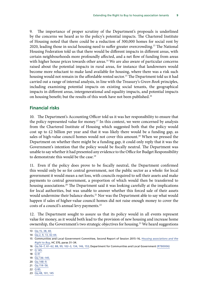<span id="page-12-0"></span>9. The importance of proper scrutiny of the Department's proposals is underlined by the concerns we heard as to the policy's potential impacts. The Chartered Institute of Housing noted that there could be a reduction of 300,000 homes for social rent by 2020, leading those in social housing need to suffer greater overcrowding.13 The National Housing Federation told us that there would be different impacts in different areas, with certain neighbourhoods more profoundly affected, and a net flow of funding from areas with higher house prices towards other areas.<sup>14</sup> We are also aware of particular concerns raised about the potential impacts in rural areas, for instance that landowners would become more reluctant to make land available for housing, where there was a risk such housing would not remain in the affordable rented sector.<sup>15</sup> The Department told us it had carried out a range of internal analysis, in line with the Treasury's *Green Book* principles, including examining potential impacts on existing social tenants, the geographical impacts in different areas, intergenerational and equality impacts, and potential impacts on housing benefit; but the results of this work have not been published.<sup>16</sup>

#### **Financial risks**

10. The Department's Accounting Officer told us it was her responsibility to ensure that the policy represented value for money.<sup>17</sup> In this context, we were concerned by analysis from the Chartered Institute of Housing which suggested both that the policy would cost up to  $\epsilon$ 2 billion per year and that it was likely there would be a funding gap, as sales of high-value council homes would not cover this amount.<sup>18</sup> When we pressed the Department on whether there might be a funding gap, it could only reply that it was the Government's intention that the policy would be fiscally neutral. The Department was unable to say whether it had presented any evidence to the Office for Budget Responsibility to demonstrate this would be the case.<sup>19</sup>

11. Even if the policy does prove to be fiscally neutral, the Department confirmed this would only be so for central government, not the public sector as a whole: for local government it would mean a net loss, with councils required to sell their assets and make payments to central government, a proportion of which would then be transferred to housing associations.<sup>20</sup> The Department said it was looking carefully at the implications for local authorities, but was unable to answer whether this forced sale of their assets would undermine their balance sheets.<sup>21</sup> Nor was the Department able to say what would happen if sales of higher-value council homes did not raise enough money to cover the costs of a council's annual levy payments.<sup>22</sup>

12. The Department sought to assure us that its policy would in all events represent value for money, as it would both lead to the provision of new housing and increase home ownership, the Government's two strategic objectives for housing.23 We heard suggestions

- 19 Qq [136–145.](http://data.parliament.uk/writtenevidence/committeeevidence.svc/evidencedocument/public-accounts-committee/right-to-buy/oral/30318.pdf)
- 20 Qq [148–9.](http://data.parliament.uk/writtenevidence/committeeevidence.svc/evidencedocument/public-accounts-committee/right-to-buy/oral/30318.pdf)
- 21 Qq [114–56.](http://data.parliament.uk/writtenevidence/committeeevidence.svc/evidencedocument/public-accounts-committee/right-to-buy/oral/30318.pdf)
- 22 Q [85.](http://data.parliament.uk/writtenevidence/committeeevidence.svc/evidencedocument/public-accounts-committee/right-to-buy/oral/30318.pdf)

<sup>13</sup> Qq [15, 38, 40.](http://data.parliament.uk/writtenevidence/committeeevidence.svc/evidencedocument/public-accounts-committee/right-to-buy/oral/30318.pdf)

<sup>14</sup> Qq [2, 9, 13, 42-44.](http://data.parliament.uk/writtenevidence/committeeevidence.svc/evidencedocument/public-accounts-committee/right-to-buy/oral/30318.pdf)

<sup>15</sup> Communities and Local Government Committee, Second Report of Session 2015–16, *[Housing associations and the](http://www.publications.parliament.uk/pa/cm201516/cmselect/cmcomloc/370/370.pdf) [Right to Buy](http://www.publications.parliament.uk/pa/cm201516/cmselect/cmcomloc/370/370.pdf)*, HC 370, paras 31–34.

<sup>16</sup> Qq [56–7, 61–62, 88, 99, 102–3, 134, 146, 153;](http://data.parliament.uk/writtenevidence/committeeevidence.svc/evidencedocument/public-accounts-committee/right-to-buy/oral/30318.pdf) Department for Communities and Local Government [\(RTB0006\)](http://data.parliament.uk/writtenevidence/committeeevidence.svc/evidencedocument/public-accounts-committee/right-to-buy/written/31688.pdf)

 $17 \overline{0}$  [145.](http://data.parliament.uk/writtenevidence/committeeevidence.svc/evidencedocument/public-accounts-committee/right-to-buy/oral/30318.pdf)

<sup>18</sup> Q [41](http://data.parliament.uk/writtenevidence/committeeevidence.svc/evidencedocument/public-accounts-committee/right-to-buy/oral/30318.pdf)

<sup>23</sup> Qq [48, 101, 145](http://data.parliament.uk/writtenevidence/committeeevidence.svc/evidencedocument/public-accounts-committee/right-to-buy/oral/30318.pdf)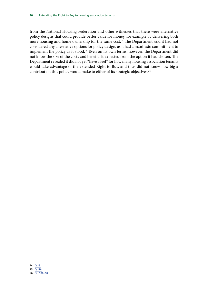from the National Housing Federation and other witnesses that there were alternative policy designs that could provide better value for money, for example by delivering both more housing and home ownership for the same cost.<sup>24</sup> The Department said it had not considered any alternative options for policy design, as it had a manifesto commitment to implement the policy as it stood.<sup>25</sup> Even on its own terms, however, the Department did not know the size of the costs and benefits it expected from the option it had chosen. The Department revealed it did not yet "have a feel" for how many housing association tenants would take advantage of the extended Right to Buy, and thus did not know how big a contribution this policy would make to either of its strategic objectives.26

<sup>26</sup> Qq [106–10.](http://data.parliament.uk/writtenevidence/committeeevidence.svc/evidencedocument/public-accounts-committee/right-to-buy/oral/30318.pdf)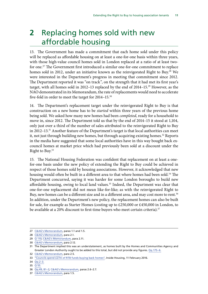# <span id="page-14-0"></span>**2** Replacing homes sold with new affordable housing

13. The Government has made a commitment that each home sold under this policy will be replaced as affordable housing on at least a one-for-one basis within three years, with those high-value council homes sold in London replaced at a ratio of at least twofor one.<sup>27</sup> The Government first introduced a similar one-for-one commitment to replace homes sold in 2012, under an initiative known as the reinvigorated Right to Buy.<sup>28</sup> We were interested in the Department's progress in meeting that commitment since 2012. The Department reported it was "on track", on the strength that it had met its first year's target, with all homes sold in 2012–13 replaced by the end of 2014–15.29 However, as the NAO demonstrated in its Memorandum, the rate of replacements would need to accelerate five-fold in order to meet the target for 2014–15.30

14. The Department's replacement target under the reinvigorated Right to Buy is that construction on a new home has to be *started* within three years of the previous home being sold. We asked how many new homes had been *completed*, ready for a household to move in, since 2012. The Department told us that by the end of 2014–15 it stood at 1,104, only just over a third of the number of sales attributed to the reinvigorated Right to Buy in 2012–13.31 Another feature of the Department's target is that local authorities can meet it, not just through building new homes, but through acquiring existing homes.<sup>32</sup> Reports in the media have suggested that some local authorities have in this way bought back excouncil homes at market price which had previously been sold at a discount under the Right to Buy.<sup>33</sup>

15. The National Housing Federation was confident that replacement on at least a onefor-one basis under the new policy of extending the Right to Buy could be achieved in respect of those homes sold by housing associations. However, it acknowledged that new housing would often be built in a different area to that where homes had been sold.<sup>34</sup> The Department concurred, saying it was harder for some London boroughs to build new affordable housing, owing to local land values.<sup>35</sup> Indeed, the Department was clear that one-for-one replacement did not mean like-for-like; as with the reinvigorated Right to Buy, new homes can be a different size and in a different area, and may cost more to rent.<sup>36</sup> In addition, under the Department's new policy, the replacement homes can also be built for sale, for example as Starter Homes (costing up to £250,000 or £450,000 in London, to be available at a 20% discount to first-time buyers who meet certain criteria).<sup>37</sup>

<sup>27</sup> [C&AG's Memorandum,](https://www.nao.org.uk/wp-content/uploads/2016/03/Memorandum-extending-the-right-to-buy.pdf) paras 1.1 and 1.5.

<sup>28</sup> [C&AG's Memorandum,](https://www.nao.org.uk/wp-content/uploads/2016/03/Memorandum-extending-the-right-to-buy.pdf) para 2.1.

<sup>29</sup> Q [110](http://data.parliament.uk/writtenevidence/committeeevidence.svc/evidencedocument/public-accounts-committee/right-to-buy/oral/30318.pdf); [C&AG's Memorandum,](https://www.nao.org.uk/wp-content/uploads/2016/03/Memorandum-extending-the-right-to-buy.pdf) para 2.11.

<sup>30</sup> [C&AG's Memorandum,](https://www.nao.org.uk/wp-content/uploads/2016/03/Memorandum-extending-the-right-to-buy.pdf) para 2.12.

<sup>31</sup> The Department implied this was an understatement, as homes built by the Homes and Communities Agency and Greater London Authority ought to be added to this total, but did not provide any figures. Qq [175–6.](http://data.parliament.uk/writtenevidence/committeeevidence.svc/evidencedocument/public-accounts-committee/right-to-buy/oral/30318.pdf)

<sup>32</sup> [C&AG's Memorandum,](https://www.nao.org.uk/wp-content/uploads/2016/03/Memorandum-extending-the-right-to-buy.pdf) para 2.5.

<sup>33</sup> ["Councils spend £27m of RTB funds buying back homes",](http://www.insidehousing.co.uk/councils-spend-27m-of-rtb-funds-buying-back-homes/7013901.article) Inside Housing, 11 February 2016.

<sup>34</sup>  $\overline{Qq 2-3}$ .

<sup>35</sup> Q [55.](http://data.parliament.uk/writtenevidence/committeeevidence.svc/evidencedocument/public-accounts-committee/right-to-buy/oral/30318.pdf)

<sup>36</sup> Qq [49, 81–](http://data.parliament.uk/writtenevidence/committeeevidence.svc/evidencedocument/public-accounts-committee/right-to-buy/oral/30318.pdf)2; [C&AG's Memorandum,](https://www.nao.org.uk/wp-content/uploads/2016/03/Memorandum-extending-the-right-to-buy.pdf) paras 2.6–2.7.

<sup>37</sup> [C&AG's Memorandum,](https://www.nao.org.uk/wp-content/uploads/2016/03/Memorandum-extending-the-right-to-buy.pdf) para 1.5.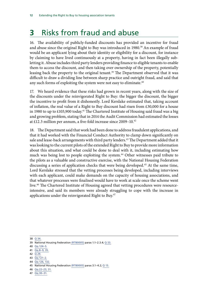# <span id="page-15-0"></span>**3** Risks from fraud and abuse

16. The availability of publicly-funded discounts has provided an incentive for fraud and abuse since the original Right to Buy was introduced in 1980.<sup>38</sup> An example of fraud would be an applicant lying about their identity or eligibility for a discount, for instance by claiming to have lived continuously at a property, having in fact been illegally subletting it. Abuse includes third party lenders providing finance to eligible tenants to enable them to access the discount, and then taking over ownership of the property, potentially leasing back the property to the original tenant.<sup>39</sup> The Department observed that it was difficult to draw a dividing line between sharp practice and outright fraud, and said that any such forms of exploiting the system were not easy to eliminate. $40$ 

17. We heard evidence that these risks had grown in recent years, along with the size of the discounts under the reinvigorated Right to Buy: the bigger the discount, the bigger the incentive to profit from it dishonestly. Lord Kerslake estimated that, taking account of inflation, the real value of a Right to Buy discount had risen from £30,000 for a house in 1980 to up to  $\text{\textsterling}103,900$  today.<sup>41</sup> The Chartered Institute of Housing said fraud was a big and growing problem, stating that in 2014 the Audit Commission had estimated the losses at £12.3 million per annum, a five-fold increase since 2009–10.42

18. The Department said that work had been done to address fraudulent applications, and that it had worked with the Financial Conduct Authority to clamp down significantly on sale and lease-back arrangements with third party lenders.<sup>43</sup> The Department added that it was looking to the current pilots of the extended Right to Buy to provide more information about this situation, and what could be done to deal with it, including estimating how much was being lost to people exploiting the system.<sup>44</sup> Other witnesses paid tribute to the pilots as a valuable and constructive exercise, with the National Housing Federation discussing a series of application checks that were being developed.45 At the same time, Lord Kerslake stressed that the vetting processes being developed, including interviews with each applicant, could make demands on the capacity of housing associations, and that whatever processes were finalised would have to work at scale once the scheme went live.46 The Chartered Institute of Housing agreed that vetting procedures were resourceintensive, and said its members were already struggling to cope with the increase in applications under the reinvigorated Right to Buy.<sup>47</sup>

38 Q [34.](http://data.parliament.uk/writtenevidence/committeeevidence.svc/evidencedocument/public-accounts-committee/right-to-buy/oral/30318.pdf)

42 Q [29.](http://data.parliament.uk/writtenevidence/committeeevidence.svc/evidencedocument/public-accounts-committee/right-to-buy/oral/30318.pdf)

44 Qq [126, 132.](http://data.parliament.uk/writtenevidence/committeeevidence.svc/evidencedocument/public-accounts-committee/right-to-buy/oral/30318.pdf)

<sup>39</sup> National Housing Federatio[n \(RTB0005\)](http://data.parliament.uk/writtenevidence/committeeevidence.svc/evidencedocument/public-accounts-committee/right-to-buy/written/31687.pdf) paras 1.1–2.3.4; Q [33.](http://data.parliament.uk/writtenevidence/committeeevidence.svc/evidencedocument/public-accounts-committee/right-to-buy/oral/30318.pdf)

<sup>40</sup> Qq [124–5.](http://data.parliament.uk/writtenevidence/committeeevidence.svc/evidencedocument/public-accounts-committee/right-to-buy/oral/30318.pdf)

<sup>41</sup> Qq [8–9, 35.](http://data.parliament.uk/writtenevidence/committeeevidence.svc/evidencedocument/public-accounts-committee/right-to-buy/oral/30318.pdf)

<sup>43</sup> Qq [121–2.](http://data.parliament.uk/writtenevidence/committeeevidence.svc/evidencedocument/public-accounts-committee/right-to-buy/oral/30318.pdf)

<sup>45</sup> National Housing Federation [\(RTB0005\)](http://data.parliament.uk/writtenevidence/committeeevidence.svc/evidencedocument/public-accounts-committee/right-to-buy/written/31687.pdf) paras 3.1–4.2; Q [13.](http://data.parliament.uk/writtenevidence/committeeevidence.svc/evidencedocument/public-accounts-committee/right-to-buy/oral/30318.pdf)

<sup>46</sup> Qq [22–23, 31.](http://data.parliament.uk/writtenevidence/committeeevidence.svc/evidencedocument/public-accounts-committee/right-to-buy/oral/30318.pdf)

<sup>47</sup> Qq [30–31.](http://data.parliament.uk/writtenevidence/committeeevidence.svc/evidencedocument/public-accounts-committee/right-to-buy/oral/30318.pdf)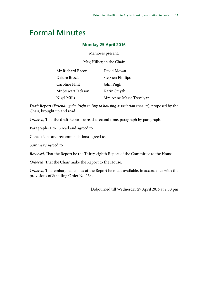### <span id="page-16-0"></span>Formal Minutes

#### **Monday 25 April 2016**

Members present:

Meg Hillier, in the Chair

| Mr Richard Bacon   | David Mowat              |
|--------------------|--------------------------|
| Deidre Brock       | Stephen Phillips         |
| Caroline Flint     | John Pugh                |
| Mr Stewart Jackson | Karin Smyth              |
| Nigel Mills        | Mrs Anne-Marie Trevelyan |

Draft Report (*Extending the Right to Buy to housing association tenants*), proposed by the Chair, brought up and read.

*Ordered*, That the draft Report be read a second time, paragraph by paragraph.

Paragraphs 1 to 18 read and agreed to.

Conclusions and recommendations agreed to.

Summary agreed to.

*Resolved*, That the Report be the Thirty-eighth Report of the Committee to the House.

*Ordered*, That the Chair make the Report to the House.

*Ordered*, That embargoed copies of the Report be made available, in accordance with the provisions of Standing Order No. 134.

[Adjourned till Wednesday 27 April 2016 at 2.00 pm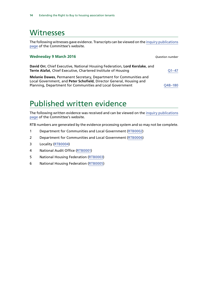### <span id="page-17-0"></span>Witnesses

The following witnesses gave evidence. Transcripts can be viewed on the [inquiry publications](http://www.parliament.uk/business/committees/committees-a-z/commons-select/public-accounts-committee/inquiries/parliament-2015/right-to-buy-15-16/) [page](http://www.parliament.uk/business/committees/committees-a-z/commons-select/public-accounts-committee/inquiries/parliament-2015/right-to-buy-15-16/) of the Committee's website.

| <b>Wednesday 9 March 2016</b>                                                                                                                                                                                  | <b>Question number</b> |
|----------------------------------------------------------------------------------------------------------------------------------------------------------------------------------------------------------------|------------------------|
| David Orr, Chief Executive, National Housing Federation, Lord Kerslake, and<br>Terrie Alafat, Chief Executive, Chartered Institute of Housing                                                                  | Q1–47                  |
| <b>Melanie Dawes, Permanent Secretary, Department for Communities and</b><br>Local Government, and Peter Schofield, Director General, Housing and<br>Planning, Department for Communities and Local Government | O48-180                |

## Published written evidence

The following written evidence was received and can be viewed on the [inquiry publications](http://www.parliament.uk/business/committees/committees-a-z/commons-select/public-accounts-committee/inquiries/parliament-2015/right-to-buy-15-16/) [page](http://www.parliament.uk/business/committees/committees-a-z/commons-select/public-accounts-committee/inquiries/parliament-2015/right-to-buy-15-16/) of the Committee's website.

RTB numbers are generated by the evidence processing system and so may not be complete.

- 1 Department for Communities and Local Government ([RTB0002](http://data.parliament.uk/WrittenEvidence/CommitteeEvidence.svc/EvidenceDocument/Public%20Accounts/Right%20to%20Buy/written/30401.html))
- 2 Department for Communities and Local Government ([RTB0006\)](http://data.parliament.uk/WrittenEvidence/CommitteeEvidence.svc/EvidenceDocument/Public%20Accounts/Right%20to%20Buy/written/31688.html)
- 3 Locality ([RTB0004\)](http://data.parliament.uk/WrittenEvidence/CommitteeEvidence.svc/EvidenceDocument/Public%20Accounts/Right%20to%20Buy/written/30943.html)
- 4 National Audit Office [\(RTB0001](http://data.parliament.uk/WrittenEvidence/CommitteeEvidence.svc/EvidenceDocument/Public%20Accounts/Right%20to%20Buy/written/29967.html))
- 5 National Housing Federation [\(RTB0003](http://data.parliament.uk/WrittenEvidence/CommitteeEvidence.svc/EvidenceDocument/Public%20Accounts/Right%20to%20Buy/written/30402.html))
- 6 National Housing Federation [\(RTB0005\)](http://data.parliament.uk/WrittenEvidence/CommitteeEvidence.svc/EvidenceDocument/Public%20Accounts/Right%20to%20Buy/written/31687.html)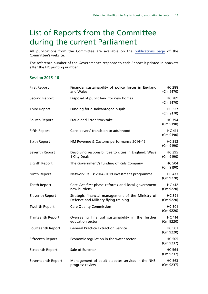## <span id="page-18-0"></span>List of Reports from the Committee during the current Parliament

All publications from the Committee are available on the [publications page](http://www.parliament.uk/business/committees/committees-a-z/commons-select/public-accounts-committee/publications/) of the Committee's website.

The reference number of the Government's response to each Report is printed in brackets after the HC printing number.

#### **Session 2015–16**

| <b>First Report</b>     | Financial sustainability of police forces in England<br>and Wales                         | <b>HC 288</b><br>(Cm 9170) |
|-------------------------|-------------------------------------------------------------------------------------------|----------------------------|
| <b>Second Report</b>    | Disposal of public land for new homes                                                     | <b>HC 289</b><br>(Cm 9170) |
| <b>Third Report</b>     | Funding for disadvantaged pupils                                                          | <b>HC 327</b><br>(Cm 9170) |
| Fourth Report           | <b>Fraud and Error Stocktake</b>                                                          | <b>HC 394</b><br>(Cm 9190) |
| <b>Fifth Report</b>     | Care leavers' transition to adulthood                                                     | <b>HC 411</b><br>(Cm 9190) |
| Sixth Report            | HM Revenue & Customs performance 2014-15                                                  | <b>HC 393</b><br>(Cm 9190) |
| Seventh Report          | Devolving responsibilities to cities in England: Wave<br>1 City Deals                     | <b>HC 395</b><br>(Cm 9190) |
| Eighth Report           | The Government's funding of Kids Company                                                  | <b>HC 504</b><br>(Cm 9190) |
| Ninth Report            | Network Rail's: 2014-2019 investment programme                                            | <b>HC 473</b><br>(Cm 9220) |
| <b>Tenth Report</b>     | Care Act first-phase reforms and local government<br>new burdens                          | <b>HC 412</b><br>(Cm 9220) |
| <b>Eleventh Report</b>  | Strategic financial management of the Ministry of<br>Defence and Military flying training | <b>HC 391</b><br>(Cm 9220) |
| <b>Twelfth Report</b>   | <b>Care Quality Commission</b>                                                            | <b>HC 501</b><br>(Cm 9220) |
| Thirteenth Report       | Overseeing financial sustainability in the further<br>education sector                    | <b>HC 414</b><br>(Cm 9220) |
| Fourteenth Report       | <b>General Practice Extraction Service</b>                                                | <b>HC 503</b><br>(Cm 9220) |
| <b>Fifteenth Report</b> | Economic regulation in the water sector                                                   | <b>HC 505</b><br>(Cm 9237) |
| Sixteenth Report        | Sale of Eurostar                                                                          | <b>HC 564</b><br>(Cm 9237) |
| Seventeenth Report      | Management of adult diabetes services in the NHS:<br>progress review                      | <b>HC 563</b><br>(Cm 9237) |